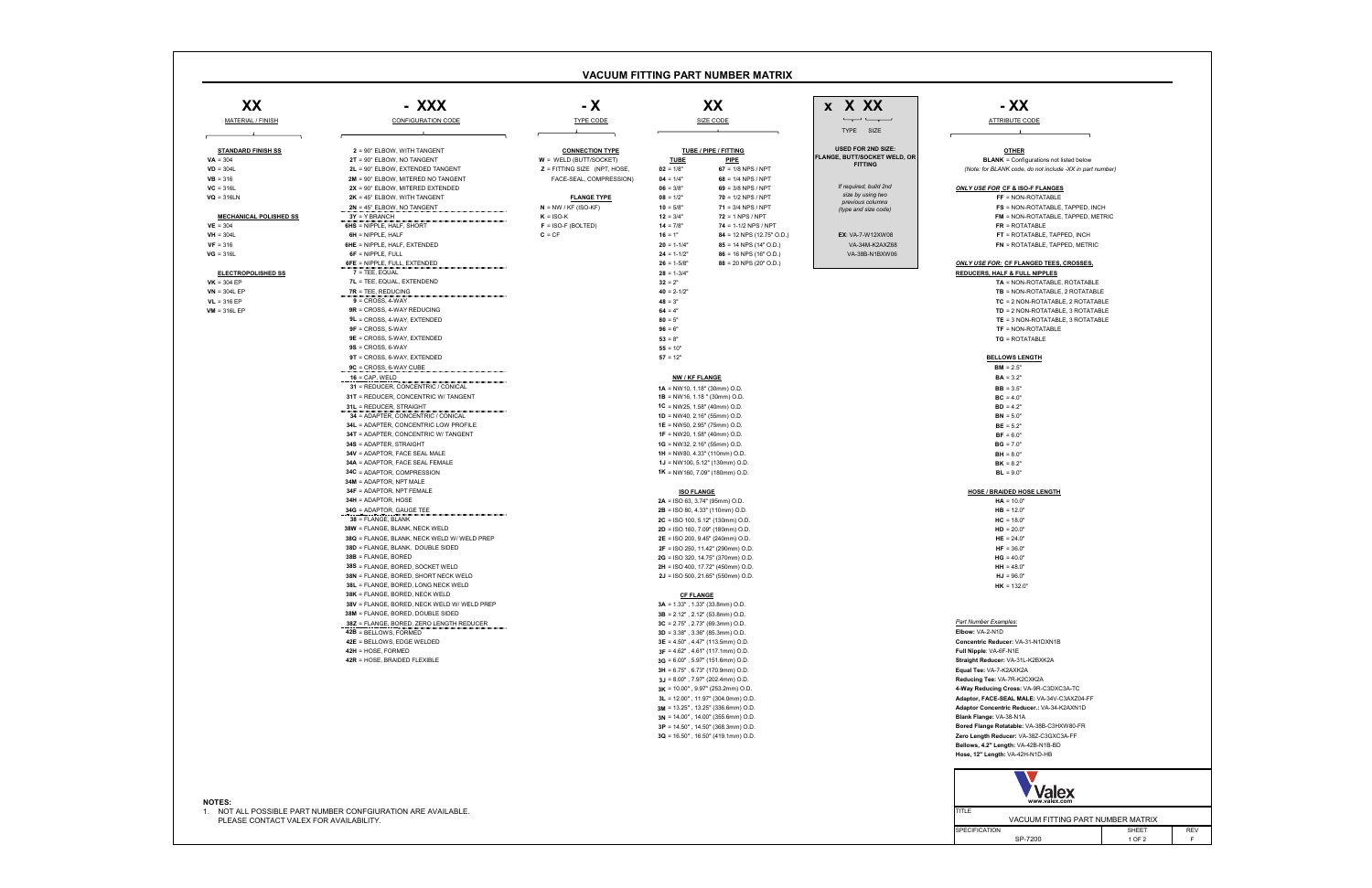SPECIFICATION REV<br>F VACUUM FITTING PART NUMBER MATRIX SP-7200 1 OF 2 SHEET

| - XXX                                                                            | - X                                                | XX                                                                              | x X XX                                                                                                                                                                                                                                                                                                                                                                                                                                                                          | - XX                                                                  |
|----------------------------------------------------------------------------------|----------------------------------------------------|---------------------------------------------------------------------------------|---------------------------------------------------------------------------------------------------------------------------------------------------------------------------------------------------------------------------------------------------------------------------------------------------------------------------------------------------------------------------------------------------------------------------------------------------------------------------------|-----------------------------------------------------------------------|
| <b>CONFIGURATION CODE</b>                                                        | <b>TYPE CODE</b>                                   | <b>SIZE CODE</b>                                                                | $\overline{\phantom{a}}$ $\overline{\phantom{a}}$ $\overline{\phantom{a}}$ $\overline{\phantom{a}}$ $\overline{\phantom{a}}$ $\overline{\phantom{a}}$ $\overline{\phantom{a}}$ $\overline{\phantom{a}}$ $\overline{\phantom{a}}$ $\overline{\phantom{a}}$ $\overline{\phantom{a}}$ $\overline{\phantom{a}}$ $\overline{\phantom{a}}$ $\overline{\phantom{a}}$ $\overline{\phantom{a}}$ $\overline{\phantom{a}}$ $\overline{\phantom{a}}$ $\overline{\phantom{a}}$ $\overline{\$ | <b>ATTRIBUTE CODE</b>                                                 |
|                                                                                  |                                                    |                                                                                 | TYPE SIZE                                                                                                                                                                                                                                                                                                                                                                                                                                                                       |                                                                       |
| $2 = 90^\circ$ ELBOW, WITH TANGENT                                               |                                                    |                                                                                 | <b>USED FOR 2ND SIZE:</b>                                                                                                                                                                                                                                                                                                                                                                                                                                                       |                                                                       |
| $2T = 90^\circ$ ELBOW, NO TANGENT                                                | <b>CONNECTION TYPE</b><br>$W = WELD$ (BUTT/SOCKET) | <b>TUBE / PIPE / FITTING</b><br><b>PIPE</b><br><b>TUBE</b>                      | <b>FLANGE, BUTT/SOCKET WELD, OR</b>                                                                                                                                                                                                                                                                                                                                                                                                                                             | <b>OTHER</b><br><b>BLANK</b> = Configurations not listed below        |
| 2L = 90° ELBOW, EXTENDED TANGENT                                                 | $Z =$ FITTING SIZE (NPT, HOSE,                     | $67 = 1/8$ NPS / NPT<br>$02 = 1/8"$                                             | <b>FITTING</b>                                                                                                                                                                                                                                                                                                                                                                                                                                                                  | (Note: for BLANK code, do not include -XX in part number)             |
| 2M = 90° ELBOW, MITERED NO TANGENT                                               | FACE-SEAL, COMPRESSION)                            | $04 = 1/4"$<br>$68 = 1/4$ NPS / NPT                                             |                                                                                                                                                                                                                                                                                                                                                                                                                                                                                 |                                                                       |
| $2X = 90^\circ$ ELBOW, MITERED EXTENDED                                          |                                                    | $06 = 3/8"$<br>69 = $3/8$ NPS / NPT                                             | If required, build 2nd                                                                                                                                                                                                                                                                                                                                                                                                                                                          | <b>ONLY USE FOR CF &amp; ISO-F FLANGES</b>                            |
| $2K = 45^{\circ}$ ELBOW, WITH TANGENT                                            | <b>FLANGE TYPE</b>                                 | $08 = 1/2"$<br>$70 = 1/2$ NPS / NPT                                             | size by using two<br>previous columns                                                                                                                                                                                                                                                                                                                                                                                                                                           | $FF = NON-ROTATABLE$                                                  |
| $2N = 45^\circ$ ELBOW, NO TANGENT                                                | $N = NW / KF (ISO-KF)$                             | $71 = 3/4$ NPS / NPT<br>$10 = 5/8"$                                             | (type and size code)                                                                                                                                                                                                                                                                                                                                                                                                                                                            | <b>FS</b> = NON-ROTATABLE, TAPPED, INCH                               |
| $3Y = Y BRANCH$                                                                  | $K = ISO-K$                                        | $72 = 1$ NPS / NPT<br>$12 = 3/4"$                                               |                                                                                                                                                                                                                                                                                                                                                                                                                                                                                 | <b>FM</b> = NON-ROTATABLE, TAPPED, METRIC                             |
| 6HS = NIPPLE, HALF, SHORT<br>$6H = NIPPLE$ , HALF                                | $F = ISO-F (BOLTED)$<br>$C = CF$                   | $14 = 7/8"$<br>$74 = 1-1/2$ NPS / NPT<br>$16 = 1"$<br>84 = 12 NPS (12.75" O.D.) | <b>EX: VA-7-W12XW08</b>                                                                                                                                                                                                                                                                                                                                                                                                                                                         | $FR = ROTATABLE$<br>FT = ROTATABLE, TAPPED, INCH                      |
| <b>SHE</b> = NIPPLE, HALF, EXTENDED                                              |                                                    | $85 = 14$ NPS (14" O.D.)<br>$20 = 1-1/4"$                                       | VA-34M-K2AXZ68                                                                                                                                                                                                                                                                                                                                                                                                                                                                  | FN = ROTATABLE, TAPPED, METRIC                                        |
| $6F = NIPPLE$ , FULL                                                             |                                                    | $24 = 1-1/2"$<br>$86 = 16$ NPS (16" O.D.)                                       | VA-38B-N1BXW06                                                                                                                                                                                                                                                                                                                                                                                                                                                                  |                                                                       |
| 6FE = NIPPLE, FULL, EXTENDED                                                     |                                                    | $26 = 1 - 5/8"$<br>$88 = 20$ NPS (20" O.D.)                                     |                                                                                                                                                                                                                                                                                                                                                                                                                                                                                 | <b>ONLY USE FOR: CF FLANGED TEES, CROSSES,</b>                        |
| 7 = TEE, EQUAL                                                                   |                                                    | $28 = 1 - 3/4"$                                                                 |                                                                                                                                                                                                                                                                                                                                                                                                                                                                                 | <b>REDUCERS, HALF &amp; FULL NIPPLES</b>                              |
| 7L = TEE, EQUAL, EXTENDEND                                                       |                                                    | $32 = 2"$                                                                       |                                                                                                                                                                                                                                                                                                                                                                                                                                                                                 | TA = NON-ROTATABLE, ROTATABLE                                         |
| $7R = TEE$ , REDUCING                                                            |                                                    | $40 = 2 - 1/2"$                                                                 |                                                                                                                                                                                                                                                                                                                                                                                                                                                                                 | <b>TB</b> = NON-ROTATABLE, 2 ROTATABLE                                |
| $9 =$ CROSS, 4-WAY                                                               |                                                    | $48 = 3"$                                                                       |                                                                                                                                                                                                                                                                                                                                                                                                                                                                                 | $TC = 2$ NON-ROTATABLE, 2 ROTATABLE                                   |
| $9R =$ CROSS, 4-WAY REDUCING                                                     |                                                    | $64 = 4"$                                                                       |                                                                                                                                                                                                                                                                                                                                                                                                                                                                                 | TD = 2 NON-ROTATABLE, 3 ROTATABLE                                     |
| 9L = CROSS, 4-WAY, EXTENDED<br>$9F = CROSS, 5-WAY$                               |                                                    | $80 = 5"$<br>$96 = 6"$                                                          |                                                                                                                                                                                                                                                                                                                                                                                                                                                                                 | TE = 3 NON-ROTATABLE, 3 ROTATABLE<br><b>TF = NON-ROTATABLE</b>        |
| <b>9E</b> = CROSS, 5-WAY, EXTENDED                                               |                                                    | $53 = 8"$                                                                       |                                                                                                                                                                                                                                                                                                                                                                                                                                                                                 | <b>TG</b> = ROTATABLE                                                 |
| $9S = CROSS, 6-WAY$                                                              |                                                    | $55 = 10"$                                                                      |                                                                                                                                                                                                                                                                                                                                                                                                                                                                                 |                                                                       |
| $9T = CROSS$ , 6-WAY, EXTENDED                                                   |                                                    | $57 = 12"$                                                                      |                                                                                                                                                                                                                                                                                                                                                                                                                                                                                 | <b>BELLOWS LENGTH</b>                                                 |
| $9C = CROSS$ , 6-WAY CUBE                                                        |                                                    |                                                                                 |                                                                                                                                                                                                                                                                                                                                                                                                                                                                                 | $BM = 2.5"$                                                           |
| $16 = CAP$ , WELD                                                                |                                                    | <b>NW / KF FLANGE</b>                                                           |                                                                                                                                                                                                                                                                                                                                                                                                                                                                                 | $BA = 3.2"$                                                           |
| 31 = REDUCER, CONCENTRIC / CONICAL                                               |                                                    | $1A = NW10, 1.18" (30mm) O.D.$                                                  |                                                                                                                                                                                                                                                                                                                                                                                                                                                                                 | $BB = 3.5"$                                                           |
| 31T = REDUCER, CONCENTRIC W/ TANGENT                                             |                                                    | $1B = NW16, 1.18$ " (30mm) O.D.                                                 |                                                                                                                                                                                                                                                                                                                                                                                                                                                                                 | $BC = 4.0"$                                                           |
| <b>31L = REDUCER, STRAIGHT</b>                                                   |                                                    | 1C = NW25, 1.58" (40mm) O.D.                                                    |                                                                                                                                                                                                                                                                                                                                                                                                                                                                                 | $BD = 4.2"$                                                           |
| 34 = ADAPTER, CONCENTRIC / CONICAL                                               |                                                    | <b>1D</b> = NW40, 2.16" (55mm) O.D.                                             |                                                                                                                                                                                                                                                                                                                                                                                                                                                                                 | $BN = 5.0"$                                                           |
| 34L = ADAPTER, CONCENTRIC LOW PROFILE                                            |                                                    | <b>1E</b> = NW50, 2.95" (75mm) O.D.                                             |                                                                                                                                                                                                                                                                                                                                                                                                                                                                                 | $BE = 5.2"$                                                           |
| 34T = ADAPTER, CONCENTRIC W/ TANGENT<br>34S = ADAPTER, STRAIGHT                  |                                                    | <b>1F</b> = NW20, 1.58" (40mm) O.D.<br>$1G = NW32, 2.16" (55mm) O.D.$           |                                                                                                                                                                                                                                                                                                                                                                                                                                                                                 | $BF = 6.0"$<br>$BG = 7.0"$                                            |
| 34V = ADAPTOR, FACE SEAL MALE                                                    |                                                    | $1H = NW80, 4.33" (110mm) O.D.$                                                 |                                                                                                                                                                                                                                                                                                                                                                                                                                                                                 | $BH = 8.0"$                                                           |
| 34A = ADAPTOR, FACE SEAL FEMALE                                                  |                                                    | $1J = NW100, 5.12" (130mm) O.D.$                                                |                                                                                                                                                                                                                                                                                                                                                                                                                                                                                 | $BK = 8.2"$                                                           |
| 34C = ADAPTOR, COMPRESSION                                                       |                                                    | $1K = NW160, 7.09" (180mm) O.D.$                                                |                                                                                                                                                                                                                                                                                                                                                                                                                                                                                 | $BL = 9.0"$                                                           |
| 34M = ADAPTOR, NPT MALE                                                          |                                                    |                                                                                 |                                                                                                                                                                                                                                                                                                                                                                                                                                                                                 |                                                                       |
| <b>34F = ADAPTOR, NPT FEMALE</b>                                                 |                                                    | <b>ISO FLANGE</b>                                                               |                                                                                                                                                                                                                                                                                                                                                                                                                                                                                 | <b>HOSE / BRAIDED HOSE LENGTH</b>                                     |
| <b>34H = ADAPTOR, HOSE</b>                                                       |                                                    | $2A =$ ISO 63, 3.74" (95mm) O.D.                                                |                                                                                                                                                                                                                                                                                                                                                                                                                                                                                 | $HA = 10.0"$                                                          |
| <b>34G = ADAPTOR, GAUGE TEE</b>                                                  |                                                    | $2B =$ ISO 80, 4.33" (110mm) O.D.                                               |                                                                                                                                                                                                                                                                                                                                                                                                                                                                                 | $HB = 12.0"$                                                          |
| 38 = FLANGE, BLANK<br>88W = FLANGE, BLANK, NECK WELD                             |                                                    | $2C = ISO 100, 5.12" (130mm) O.D.$                                              |                                                                                                                                                                                                                                                                                                                                                                                                                                                                                 | $HC = 18.0"$                                                          |
| 38Q = FLANGE, BLANK, NECK WELD W/ WELD PREP                                      |                                                    | $2D =$ ISO 160, 7.09" (180mm) O.D.<br><b>2E</b> = ISO 200, 9.45" (240mm) O.D.   |                                                                                                                                                                                                                                                                                                                                                                                                                                                                                 | $HD = 20.0"$<br>$HE = 24.0"$                                          |
| 38D = FLANGE, BLANK, DOUBLE SIDED                                                |                                                    | <b>2F</b> = ISO 250, 11.42" (290mm) O.D.                                        |                                                                                                                                                                                                                                                                                                                                                                                                                                                                                 | $HF = 36.0"$                                                          |
| 38B = FLANGE, BORED                                                              |                                                    | 2G = ISO 320, 14.75" (370mm) O.D.                                               |                                                                                                                                                                                                                                                                                                                                                                                                                                                                                 | $HG = 40.0"$                                                          |
| 38S = FLANGE, BORED, SOCKET WELD                                                 |                                                    | <b>2H</b> = ISO 400, 17.72" (450mm) O.D.                                        |                                                                                                                                                                                                                                                                                                                                                                                                                                                                                 | $HH = 48.0"$                                                          |
| 38N = FLANGE, BORED, SHORT NECK WELD                                             |                                                    | $2J =$ ISO 500, 21.65" (550mm) O.D.                                             |                                                                                                                                                                                                                                                                                                                                                                                                                                                                                 | $HJ = 96.0"$                                                          |
| 38L = FLANGE, BORED, LONG NECK WELD                                              |                                                    |                                                                                 |                                                                                                                                                                                                                                                                                                                                                                                                                                                                                 | $HK = 132.0"$                                                         |
| 38K = FLANGE, BORED, NECK WELD                                                   |                                                    | <b>CF FLANGE</b>                                                                |                                                                                                                                                                                                                                                                                                                                                                                                                                                                                 |                                                                       |
| 38V = FLANGE, BORED, NECK WELD W/ WELD PREP<br>38M = FLANGE, BORED, DOUBLE SIDED |                                                    | $3A = 1.33"$ , 1.33" (33.8mm) O.D.                                              |                                                                                                                                                                                                                                                                                                                                                                                                                                                                                 |                                                                       |
| <b>38Z = FLANGE, BORED, ZERO LENGTH REDUCER</b>                                  |                                                    | $3B = 2.12"$ , 2.12" (53.8mm) O.D.<br>$3C = 2.75$ ", 2.73" (69.3mm) O.D.        |                                                                                                                                                                                                                                                                                                                                                                                                                                                                                 | Part Number Examples:                                                 |
| 42B = BELLOWS, FORMED                                                            |                                                    | $3D = 3.38"$ , 3.36" (85.3mm) O.D.                                              |                                                                                                                                                                                                                                                                                                                                                                                                                                                                                 | Elbow: VA-2-N1D                                                       |
| 42E = BELLOWS, EDGE WELDED                                                       |                                                    | $3E = 4.50$ ", 4.47" (113.5mm) O.D.                                             |                                                                                                                                                                                                                                                                                                                                                                                                                                                                                 | Concentric Reducer: VA-31-N1DXN1B                                     |
| 42H = HOSE, FORMED                                                               |                                                    | $3F = 4.62$ ", 4.61" (117.1mm) O.D.                                             |                                                                                                                                                                                                                                                                                                                                                                                                                                                                                 | Full Nipple: VA-6F-N1E                                                |
| 42R = HOSE. BRAIDED FLEXIBLE                                                     |                                                    | $3G = 6.00"$ , 5.97" (151.6mm) O.D.                                             |                                                                                                                                                                                                                                                                                                                                                                                                                                                                                 | Straight Reducer: VA-31L-K2BXK2A                                      |
|                                                                                  |                                                    | $3H = 6.75"$ , 6.73" (170.9mm) O.D.                                             |                                                                                                                                                                                                                                                                                                                                                                                                                                                                                 | Equal Tee: VA-7-K2AXK2A                                               |
|                                                                                  |                                                    | $3J = 8.00"$ , 7.97" (202.4mm) O.D.                                             |                                                                                                                                                                                                                                                                                                                                                                                                                                                                                 | Reducing Tee: VA-7R-K2CXK2A                                           |
|                                                                                  |                                                    | $3K = 10.00$ ", 9.97" (253.2mm) O.D.                                            |                                                                                                                                                                                                                                                                                                                                                                                                                                                                                 | 4-Way Reducing Cross: VA-9R-C3DXC3A-TC                                |
|                                                                                  |                                                    | $3L = 12.00"$ , 11.97" (304.0mm) O.D.                                           |                                                                                                                                                                                                                                                                                                                                                                                                                                                                                 | Adaptor, FACE-SEAL MALE: VA-34V-C3AXZ04-FF                            |
|                                                                                  |                                                    | $3M = 13.25"$ , 13.25" (336.6mm) O.D.<br>$3N = 14.00"$ , 14.00" (355.6mm) O.D.  |                                                                                                                                                                                                                                                                                                                                                                                                                                                                                 | Adaptor Concentric Reducer.: VA-34-K2AXN1D<br>Blank Flange: VA-38-N1A |
|                                                                                  |                                                    | $3P = 14.50$ ", 14.50" (368.3mm) O.D.                                           |                                                                                                                                                                                                                                                                                                                                                                                                                                                                                 | Bored Flange Rotatable: VA-38B-C3HXW80-FR                             |
|                                                                                  |                                                    | $3Q = 16.50$ ", 16.50" (419.1mm) O.D.                                           |                                                                                                                                                                                                                                                                                                                                                                                                                                                                                 | Zero Length Reducer: VA-38Z-C3GXC3A-FF                                |
|                                                                                  |                                                    |                                                                                 |                                                                                                                                                                                                                                                                                                                                                                                                                                                                                 | Bellows, 4.2" Length: VA-42B-N1B-BD                                   |
|                                                                                  |                                                    |                                                                                 |                                                                                                                                                                                                                                                                                                                                                                                                                                                                                 | Hose, 12" Length: VA-42H-N1D-HB                                       |
|                                                                                  |                                                    |                                                                                 |                                                                                                                                                                                                                                                                                                                                                                                                                                                                                 |                                                                       |
|                                                                                  |                                                    |                                                                                 |                                                                                                                                                                                                                                                                                                                                                                                                                                                                                 |                                                                       |
|                                                                                  |                                                    |                                                                                 |                                                                                                                                                                                                                                                                                                                                                                                                                                                                                 | <b>Valex</b>                                                          |
|                                                                                  |                                                    |                                                                                 |                                                                                                                                                                                                                                                                                                                                                                                                                                                                                 | www.valex.com                                                         |

|                                                                               | - XXX                                                                                                                                             | $- X$                                                                                |                                                                                                                                               | XX                                                                                                                                                               | x X XX                                                                             | - XX                                                                                                                                                                                                |
|-------------------------------------------------------------------------------|---------------------------------------------------------------------------------------------------------------------------------------------------|--------------------------------------------------------------------------------------|-----------------------------------------------------------------------------------------------------------------------------------------------|------------------------------------------------------------------------------------------------------------------------------------------------------------------|------------------------------------------------------------------------------------|-----------------------------------------------------------------------------------------------------------------------------------------------------------------------------------------------------|
| <b>MATERIAL / FINISH</b>                                                      | <b>CONFIGURATION CODE</b>                                                                                                                         | <b>TYPE CODE</b><br><b>SIZE CODE</b>                                                 |                                                                                                                                               | TYPE SIZE                                                                                                                                                        | <b>ATTRIBUTE CODE</b>                                                              |                                                                                                                                                                                                     |
| <b>STANDARD FINISH SS</b><br>$VA = 304$<br>$VD = 304L$                        | $2 = 90^\circ$ ELBOW, WITH TANGENT<br>2T = 90° ELBOW, NO TANGENT<br>2L = 90° ELBOW, EXTENDED TANGENT                                              | <b>CONNECTION TYPE</b><br>$W = WELD (BUTT/SOCKET)$<br>$Z = FITTING SIZE$ (NPT, HOSE, | <b>TUBE</b><br>$02 = 1/8"$                                                                                                                    | TUBE / PIPE / FITTING<br><b>PIPE</b><br>$67 = 1/8$ NPS / NPT                                                                                                     | <b>USED FOR 2ND SIZE:</b><br><b>FLANGE, BUTT/SOCKET WELD, OR</b><br><b>FITTING</b> | <b>OTHER</b><br><b>BLANK</b> = Configurations not listed below<br>(Note: for BLANK code, do not include -XX in part number                                                                          |
| $VB = 316$<br>$VC = 316L$<br>$\mathsf{VQ} = 316\mathsf{LN}$                   | 2M = 90° ELBOW, MITERED NO TANGENT<br>$2X = 90^\circ$ ELBOW, MITERED EXTENDED<br>$2K = 45^{\circ}$ ELBOW, WITH TANGENT                            | FACE-SEAL, COMPRESSION)<br><b>FLANGE TYPE</b>                                        | $04 = 1/4"$<br>$06 = 3/8"$<br>$08 = 1/2"$                                                                                                     | $68 = 1/4$ NPS / NPT<br>69 = $3/8$ NPS / NPT<br>$70 = 1/2$ NPS / NPT                                                                                             | If required, build 2nd<br>size by using two<br>previous columns                    | <b>ONLY USE FOR CF &amp; ISO-F FLANGES</b><br>FF = NON-ROTATABLE                                                                                                                                    |
| <b>MECHANICAL POLISHED SS</b><br>$VE = 304$                                   | $2N = 45^\circ$ ELBOW, NO TANGENT<br>$3Y = Y BRANCH$<br>6HS = NIPPLE, HALF, SHORT                                                                 | $N = NW / KF (ISO-KF)$<br>$K = ISO-K$<br>$F = ISO-F (BOLTED)$                        | $10 = 5/8"$<br>$12 = 3/4"$<br>$14 = 7/8"$                                                                                                     | $71 = 3/4$ NPS / NPT<br>$72 = 1$ NPS / NPT<br>$74 = 1-1/2$ NPS / NPT                                                                                             | (type and size code)                                                               | FS = NON-ROTATABLE, TAPPED, INCH<br>FM = NON-ROTATABLE, TAPPED, METRIC<br>$FR = ROTATABLE$                                                                                                          |
| $VH = 304L$<br>$VF = 316$<br>$VG = 316L$                                      | $6H = NIPPLE$ . HALF<br><b>6HE</b> = NIPPLE, HALF, EXTENDED<br>$6F = NIPPLE$ , FULL                                                               | $C = CF$                                                                             | $16 = 1"$<br>$20 = 1-1/4"$<br>$24 = 1-1/2"$                                                                                                   | 84 = 12 NPS (12.75" O.D.)<br>$85 = 14$ NPS (14" O.D.)<br>$86 = 16$ NPS (16" O.D.)                                                                                | <b>EX: VA-7-W12XW08</b><br>VA-34M-K2AXZ68<br>VA-38B-N1BXW06                        | FT = ROTATABLE, TAPPED, INCH<br><b>FN</b> = ROTATABLE, TAPPED, METRIC                                                                                                                               |
| <b>ELECTROPOLISHED SS</b><br>$VK = 304 EP$<br>$VN = 304L EP$<br>$VL = 316 EP$ | 6FE = NIPPLE, FULL, EXTENDED<br>7 = TEE, EQUAL<br>7L = TEE, EQUAL, EXTENDEND<br>$7R = TEE$ , REDUCING<br>$9 = CROSS, 4-WAY$                       |                                                                                      | $26 = 1 - 5/8"$<br>$28 = 1 - 3/4"$<br>$32 = 2"$<br>$40 = 2 - 1/2"$<br>$48 = 3"$                                                               | $88 = 20$ NPS (20" O.D.)                                                                                                                                         |                                                                                    | ONLY USE FOR: CF FLANGED TEES, CROSSES,<br><b>REDUCERS, HALF &amp; FULL NIPPLES</b><br>TA = NON-ROTATABLE, ROTATABLE<br><b>TB</b> = NON-ROTATABLE, 2 ROTATABLE<br>TC = 2 NON-ROTATABLE, 2 ROTATABLE |
| $VM = 316L EP$                                                                | $9R =$ CROSS, 4-WAY REDUCING<br>$9L = CROSS$ , 4-WAY, EXTENDED<br>$9F = CROSS$ , 5-WAY<br>$9E = CROSS$ , 5-WAY, EXTENDED                          |                                                                                      | $64 = 4"$<br>$80 = 5"$<br>$96 = 6"$<br>$53 = 8"$                                                                                              |                                                                                                                                                                  |                                                                                    | TD = 2 NON-ROTATABLE, 3 ROTATABLE<br><b>TE</b> = $3$ NON-ROTATABLE, $3$ ROTATABLE<br><b>TF</b> = NON-ROTATABLE<br><b>TG</b> = ROTATABLE                                                             |
|                                                                               | $9S = CROSS, 6-WAY$<br>9T = CROSS, 6-WAY, EXTENDED<br>$9C = CROSS$ , 6-WAY CUBE                                                                   |                                                                                      | $55 = 10"$<br>$57 = 12"$                                                                                                                      |                                                                                                                                                                  |                                                                                    | <b>BELLOWS LENGTH</b><br>$BM = 2.5"$                                                                                                                                                                |
|                                                                               | $16 = CAP$ , WELD<br>31 = REDUCER, CONCENTRIC / CONICAL<br>31T = REDUCER, CONCENTRIC W/ TANGENT                                                   |                                                                                      | <b>NW / KF FLANGE</b><br>$1A = NW10, 1.18" (30mm) O.D.$<br>$1B = NW16, 1.18$ " (30mm) O.D.                                                    |                                                                                                                                                                  |                                                                                    | $BA = 3.2"$<br>$BB = 3.5"$<br>$BC = 4.0"$                                                                                                                                                           |
|                                                                               | 31L = REDUCER, STRAIGHT<br>34 = ADAPTER, CONCENTRIC / CONICAL<br>34L = ADAPTER, CONCENTRIC LOW PROFILE<br>34T = ADAPTER, CONCENTRIC W/TANGENT     |                                                                                      | 1C = NW25, 1.58" (40mm) O.D.<br>1D = $NW40$ , 2.16" (55mm) O.D.<br><b>1E</b> = NW50, 2.95" (75mm) O.D.<br><b>1F</b> = NW20, 1.58" (40mm) O.D. |                                                                                                                                                                  |                                                                                    | $BD = 4.2"$<br>$BN = 5.0"$<br>$BE = 5.2"$<br>$BF = 6.0"$                                                                                                                                            |
|                                                                               | <b>34S</b> = ADAPTER. STRAIGHT<br><b>34V = ADAPTOR, FACE SEAL MALE</b><br><b>34A = ADAPTOR, FACE SEAL FEMALE</b>                                  |                                                                                      | 1G = NW32, 2.16" (55mm) O.D.<br>$1H = NW80, 4.33" (110mm) O.D.$                                                                               | $1J = NW100, 5.12" (130mm) O.D.$                                                                                                                                 |                                                                                    | $BG = 7.0"$<br>$BH = 8.0"$<br>$BK = 8.2"$                                                                                                                                                           |
|                                                                               | 34C = ADAPTOR, COMPRESSION<br>34M = ADAPTOR. NPT MALE<br>34F = ADAPTOR, NPT FEMALE                                                                |                                                                                      | $1K = NW160, 7.09" (180mm) O.D.$<br><b>ISO FLANGE</b>                                                                                         |                                                                                                                                                                  |                                                                                    | $BL = 9.0"$<br><b>HOSE / BRAIDED HOSE LENGTH</b>                                                                                                                                                    |
|                                                                               | <b>34H = ADAPTOR, HOSE</b><br>34G = ADAPTOR, GAUGE TEE<br>38 = FLANGE, BLANK<br>38W = FLANGE, BLANK, NECK WELD                                    |                                                                                      | $2A =$ ISO 63, 3.74" (95mm) O.D.<br>$2B =$ ISO 80, 4.33" (110mm) O.D.                                                                         | 2C = ISO 100, 5.12" (130mm) O.D.<br><b>2D</b> = ISO 160, 7.09" (180mm) O.D.                                                                                      |                                                                                    | $HA = 10.0"$<br>$HB = 12.0"$<br>$HC = 18.0"$<br>$HD = 20.0"$                                                                                                                                        |
|                                                                               | 38Q = FLANGE, BLANK, NECK WELD W/ WELD PREP<br>38D = FLANGE, BLANK, DOUBLE SIDED<br>$38B$ = FLANGE, BORED                                         |                                                                                      |                                                                                                                                               | <b>2E</b> = ISO 200, 9.45" (240mm) O.D.<br>$2F =$ ISO 250, 11.42" (290mm) O.D.<br>2G = ISO 320, 14.75" (370mm) O.D.                                              |                                                                                    | $HE = 24.0"$<br>$HF = 36.0"$<br>$HG = 40.0"$                                                                                                                                                        |
|                                                                               | 38S = FLANGE, BORED, SOCKET WELD<br>38N = FLANGE, BORED, SHORT NECK WELD<br>38L = FLANGE, BORED, LONG NECK WELD<br>38K = FLANGE, BORED, NECK WELD |                                                                                      |                                                                                                                                               | 2H = ISO 400, 17.72" (450mm) O.D.<br>$2J =$ ISO 500, 21.65" (550mm) O.D.                                                                                         |                                                                                    | $HH = 48.0"$<br>$HJ = 96.0"$<br>$HK = 132.0"$                                                                                                                                                       |
|                                                                               | 38V = FLANGE, BORED, NECK WELD W/ WELD PREP<br>38M = FLANGE, BORED, DOUBLE SIDED<br>38Z = FLANGE, BORED, ZERO LENGTH REDUCER                      |                                                                                      | <b>CF FLANGE</b><br>$3A = 1.33"$ , 1.33" (33.8mm) O.D.<br>$3B = 2.12"$ , 2.12" (53.8mm) O.D.<br>$3C = 2.75"$ , 2.73" (69.3mm) O.D.            |                                                                                                                                                                  |                                                                                    | <b>Part Number Examples:</b>                                                                                                                                                                        |
|                                                                               | 42B = BELLOWS, FORMED<br>42E = BELLOWS, EDGE WELDED<br>42H = HOSE, FORMED<br>42R = HOSE, BRAIDED FLEXIBLE                                         |                                                                                      | $3D = 3.38"$ , 3.36" (85.3mm) O.D.                                                                                                            | $3E = 4.50$ ", $4.47$ " (113.5mm) O.D.<br>$3F = 4.62$ ", $4.61$ " (117.1mm) O.D.<br>$3G = 6.00"$ , 5.97" (151.6mm) O.D.                                          |                                                                                    | Elbow: VA-2-N1D<br>Concentric Reducer: VA-31-N1DXN1B<br>Full Nipple: VA-6F-N1E<br>Straight Reducer: VA-31L-K2BXK2A                                                                                  |
|                                                                               |                                                                                                                                                   |                                                                                      | $3H = 6.75"$ , 6.73" (170.9mm) O.D.                                                                                                           | $3J = 8.00"$ , 7.97" (202.4mm) O.D.<br>$3K = 10.00"$ , 9.97" (253.2mm) O.D.<br>$3L = 12.00$ ", 11.97" (304.0mm) O.D.                                             |                                                                                    | Equal Tee: VA-7-K2AXK2A<br>Reducing Tee: VA-7R-K2CXK2A<br>4-Way Reducing Cross: VA-9R-C3DXC3A-TC<br>Adaptor, FACE-SEAL MALE: VA-34V-C3AXZ04-FF                                                      |
|                                                                               |                                                                                                                                                   |                                                                                      |                                                                                                                                               | $3M = 13.25"$ , 13.25" (336.6mm) O.D.<br>$3N = 14.00$ ", 14.00" (355.6mm) O.D.<br>$3P = 14.50$ ", 14.50" (368.3mm) O.D.<br>$3Q = 16.50$ ", 16.50" (419.1mm) O.D. |                                                                                    | Adaptor Concentric Reducer.: VA-34-K2AXN1D<br>Blank Flange: VA-38-N1A<br>Bored Flange Rotatable: VA-38B-C3HXW80-FR<br>Zero Length Reducer: VA-38Z-C3GXC3A-FF<br>Bellows, 4.2" Length: VA-42B-N1B-BD |

| TUBE / PIPE / FITTING |                        |  |  |  |  |  |  |
|-----------------------|------------------------|--|--|--|--|--|--|
| <b>TUBE</b>           | PIPE                   |  |  |  |  |  |  |
| $02 = 1/8"$           | $67 = 1/8$ NPS / NPT   |  |  |  |  |  |  |
| $04 = 1/4"$           | $68 = 1/4$ NPS / NPT   |  |  |  |  |  |  |
| $06 = 3/8"$           | $69 = 3/8$ NPS / NPT   |  |  |  |  |  |  |
| $08 = 1/2"$           | $70 = 1/2$ NPS / NPT   |  |  |  |  |  |  |
| $10 = 5/8"$           | 71 = $3/4$ NPS / NPT   |  |  |  |  |  |  |
| $12 = 3/4"$           | $72 = 1$ NPS / NPT     |  |  |  |  |  |  |
| $14 = 7/8"$           | $74 = 1-1/2$ NPS / NPT |  |  |  |  |  |  |
| $16 = 1"$             | 84 = 12 NPS (12.75" C  |  |  |  |  |  |  |
| $20 = 1-1/4"$         | $85 = 14$ NPS (14" O.D |  |  |  |  |  |  |
| $24 = 1-1/2"$         | $86 = 16$ NPS (16" O.D |  |  |  |  |  |  |
| $26 = 1 - 5/8"$       | $88 = 20$ NPS (20" O.D |  |  |  |  |  |  |
| $28 = 1 - 3/4"$       |                        |  |  |  |  |  |  |
| $32 = 2"$             |                        |  |  |  |  |  |  |

# **VACUUM FITTING PART NUMBER MATRIX**